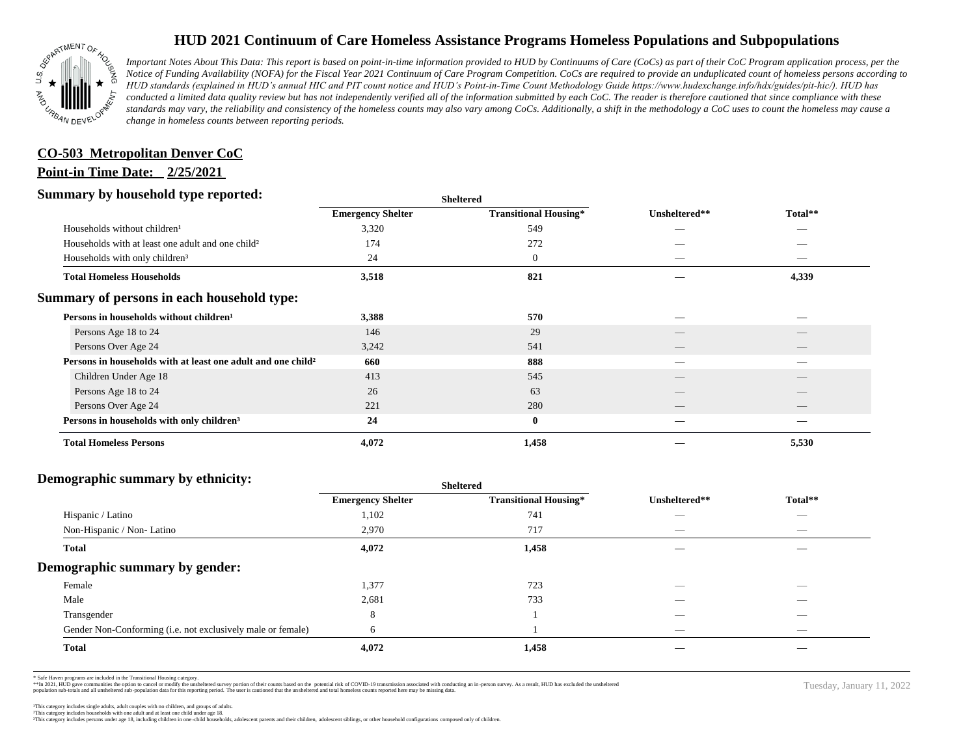

# **HUD 2021 Continuum of Care Homeless Assistance Programs Homeless Populations and Subpopulations**

*Important Notes About This Data: This report is based on point-in-time information provided to HUD by Continuums of Care (CoCs) as part of their CoC Program application process, per the Notice of Funding Availability (NOFA) for the Fiscal Year 2021 Continuum of Care Program Competition. CoCs are required to provide an unduplicated count of homeless persons according to HUD standards (explained in HUD's annual HIC and PIT count notice and HUD's Point-in-Time Count Methodology Guide https://www.hudexchange.info/hdx/guides/pit-hic/). HUD has*  conducted a limited data quality review but has not independently verified all of the information submitted by each CoC. The reader is therefore cautioned that since compliance with these standards may vary, the reliability and consistency of the homeless counts may also vary among CoCs. Additionally, a shift in the methodology a CoC uses to count the homeless may cause a *change in homeless counts between reporting periods.*

## **CO-503 Metropolitan Denver CoC**

#### **Point-in Time Date: 2/25/2021**

### **Summary by household type reported:**

| . .                                                                      |                          | энскеген                     |               |         |  |
|--------------------------------------------------------------------------|--------------------------|------------------------------|---------------|---------|--|
|                                                                          | <b>Emergency Shelter</b> | <b>Transitional Housing*</b> | Unsheltered** | Total** |  |
| Households without children <sup>1</sup>                                 | 3,320                    | 549                          | _             | _       |  |
| Households with at least one adult and one child?                        | 174                      | 272                          |               |         |  |
| Households with only children <sup>3</sup>                               | 24                       | $\mathbf{0}$                 | _             | _       |  |
| <b>Total Homeless Households</b>                                         | 3,518                    | 821                          |               | 4,339   |  |
| Summary of persons in each household type:                               |                          |                              |               |         |  |
| Persons in households without children <sup>1</sup>                      | 3,388                    | 570                          |               |         |  |
| Persons Age 18 to 24                                                     | 146                      | 29                           |               |         |  |
| Persons Over Age 24                                                      | 3,242                    | 541                          |               |         |  |
| Persons in households with at least one adult and one child <sup>2</sup> | 660                      | 888                          |               |         |  |
| Children Under Age 18                                                    | 413                      | 545                          |               |         |  |
| Persons Age 18 to 24                                                     | 26                       | 63                           |               |         |  |
| Persons Over Age 24                                                      | 221                      | 280                          |               |         |  |
| Persons in households with only children <sup>3</sup>                    | 24                       | $\bf{0}$                     |               |         |  |
| <b>Total Homeless Persons</b>                                            | 4,072                    | 1,458                        |               | 5,530   |  |
|                                                                          |                          |                              |               |         |  |

**Sheltered**

## **Demographic summary by ethnicity:**

|                                                             | Sheltered                |                              |                          |                          |
|-------------------------------------------------------------|--------------------------|------------------------------|--------------------------|--------------------------|
|                                                             | <b>Emergency Shelter</b> | <b>Transitional Housing*</b> | Unsheltered**            | Total**                  |
| Hispanic / Latino                                           | 1,102                    | 741                          | __                       | _                        |
| Non-Hispanic / Non-Latino                                   | 2,970                    | 717                          |                          |                          |
| <b>Total</b>                                                | 4,072                    | 1,458                        |                          |                          |
| Demographic summary by gender:                              |                          |                              |                          |                          |
| Female                                                      | 1,377                    | 723                          | $\hspace{0.05cm}$        | _                        |
| Male                                                        | 2,681                    | 733                          | $\overline{\phantom{a}}$ | _                        |
| Transgender                                                 | 8                        |                              | _                        | _                        |
| Gender Non-Conforming (i.e. not exclusively male or female) | 6                        |                              | $\overline{\phantom{a}}$ | $\overline{\phantom{a}}$ |
| <b>Total</b>                                                | 4,072                    | 1,458                        |                          |                          |
|                                                             |                          |                              |                          |                          |

Tuesday, January 11, 2022

\* Safe Haven programs are included in the Transitional Housing category.<br>\*\*In 2021, HUD gave communites the option to cancel or modify the unsheltered survey portion of their counts based on the potential risk of COVID-19 population sub-totals and all unsheltered sub-population data for this reporting period. The user is cautioned that the unsheltered and total homeless counts reported here may be missing data.

³This category includes persons under age 18, including children in one -child households, adolescent parents and their children, adolescent siblings, or other household configurations composed only of children.